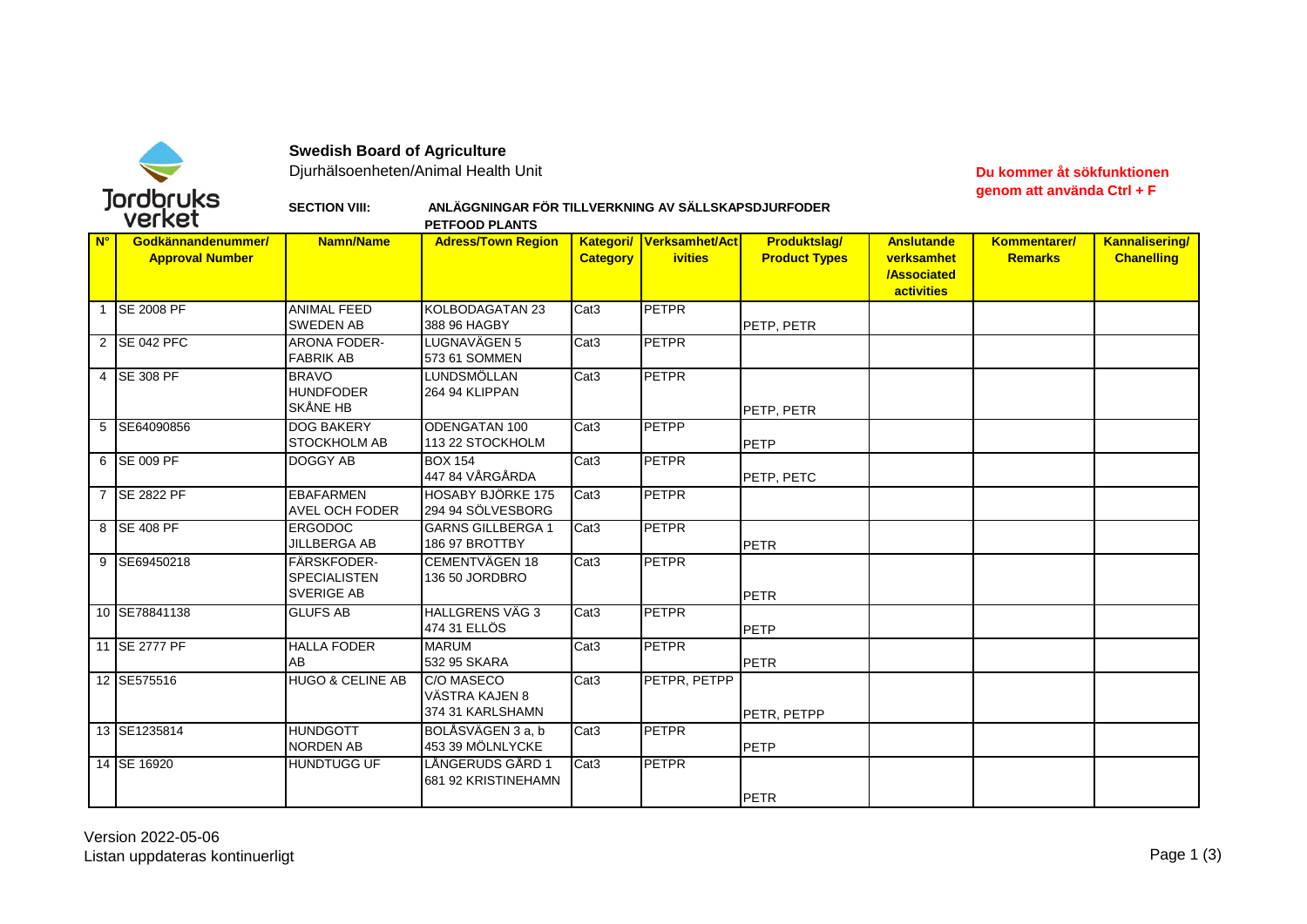

**Swedish Board of Agriculture**

Djurhälsoenheten/Animal Health Unit **Du kommer åt sökfunktionen** 

**genom att använda Ctrl + F**

## **SECTION VIII: ANLÄGGNINGAR FÖR TILLVERKNING AV SÄLLSKAPSDJURFODER**

| VEI NE L             |                                              |                                                         | <b>PETFOOD PLANTS</b>                            |                  |                                            |                                             |                                                                     |                                |                                            |
|----------------------|----------------------------------------------|---------------------------------------------------------|--------------------------------------------------|------------------|--------------------------------------------|---------------------------------------------|---------------------------------------------------------------------|--------------------------------|--------------------------------------------|
| $\mathbf{N}^{\circ}$ | Godkännandenummer/<br><b>Approval Number</b> | <b>Namn/Name</b>                                        | <b>Adress/Town Region</b>                        | <b>Category</b>  | Kategori/ Verksamhet/Act<br><b>ivities</b> | <b>Produktslag/</b><br><b>Product Types</b> | <b>Anslutande</b><br>verksamhet<br><b>/Associated</b><br>activities | Kommentarer/<br><b>Remarks</b> | <b>Kannalisering/</b><br><b>Chanelling</b> |
|                      | 1 SE 2008 PF                                 | <b>ANIMAL FEED</b><br><b>SWEDEN AB</b>                  | KOLBODAGATAN 23<br>388 96 HAGBY                  | Cat <sub>3</sub> | <b>PETPR</b>                               | PETP, PETR                                  |                                                                     |                                |                                            |
|                      | 2 SE 042 PFC                                 | <b>ARONA FODER-</b><br><b>FABRIK AB</b>                 | LUGNAVÄGEN 5<br>573 61 SOMMEN                    | Cat <sub>3</sub> | <b>PETPR</b>                               |                                             |                                                                     |                                |                                            |
|                      | 4 SE 308 PF                                  | <b>BRAVO</b><br><b>HUNDFODER</b><br><b>SKÅNE HB</b>     | <b>LUNDSMÖLLAN</b><br>264 94 KLIPPAN             | Cat <sub>3</sub> | <b>PETPR</b>                               | PETP, PETR                                  |                                                                     |                                |                                            |
|                      | 5 SE64090856                                 | <b>DOG BAKERY</b><br><b>STOCKHOLM AB</b>                | <b>ODENGATAN 100</b><br>113 22 STOCKHOLM         | Cat <sub>3</sub> | <b>PETPP</b>                               | <b>PETP</b>                                 |                                                                     |                                |                                            |
|                      | 6 SE 009 PF                                  | DOGGY AB                                                | <b>BOX 154</b><br>447 84 VÅRGÅRDA                | Cat <sub>3</sub> | <b>PETPR</b>                               | PETP, PETC                                  |                                                                     |                                |                                            |
|                      | 7 SE 2822 PF                                 | <b>EBAFARMEN</b><br><b>AVEL OCH FODER</b>               | <b>HOSABY BJÖRKE 175</b><br>294 94 SÖLVESBORG    | Cat <sub>3</sub> | <b>PETPR</b>                               |                                             |                                                                     |                                |                                            |
|                      | 8 SE 408 PF                                  | <b>ERGODOC</b><br><b>JILLBERGA AB</b>                   | <b>GARNS GILLBERGA 1</b><br>186 97 BROTTBY       | Cat <sub>3</sub> | <b>PETPR</b>                               | <b>PETR</b>                                 |                                                                     |                                |                                            |
|                      | 9 SE69450218                                 | FÄRSKFODER-<br><b>SPECIALISTEN</b><br><b>SVERIGE AB</b> | <b>CEMENTVÄGEN 18</b><br>136 50 JORDBRO          | Cat <sub>3</sub> | <b>PETPR</b>                               | <b>PETR</b>                                 |                                                                     |                                |                                            |
|                      | 10 SE78841138                                | <b>GLUFS AB</b>                                         | <b>HALLGRENS VÄG 3</b><br>474 31 ELLÖS           | Cat <sub>3</sub> | <b>PETPR</b>                               | PETP                                        |                                                                     |                                |                                            |
|                      | 11 SE 2777 PF                                | <b>HALLA FODER</b><br>AB                                | <b>MARUM</b><br>532 95 SKARA                     | Cat <sub>3</sub> | <b>PETPR</b>                               | <b>PETR</b>                                 |                                                                     |                                |                                            |
|                      | 12 SE575516                                  | HUGO & CELINE AB                                        | C/O MASECO<br>VÄSTRA KAJEN 8<br>374 31 KARLSHAMN | Cat <sub>3</sub> | PETPR, PETPP                               | PETR, PETPP                                 |                                                                     |                                |                                            |
|                      | 13 SE1235814                                 | <b>HUNDGOTT</b><br><b>NORDEN AB</b>                     | BOLÅSVÄGEN 3 a, b<br>453 39 MÖLNLYCKE            | Cat <sub>3</sub> | <b>PETPR</b>                               | PETP                                        |                                                                     |                                |                                            |
|                      | 14 SE 16920                                  | <b>HUNDTUGG UF</b>                                      | LÅNGERUDS GÅRD 1<br>681 92 KRISTINEHAMN          | Cat <sub>3</sub> | <b>PETPR</b>                               | <b>PETR</b>                                 |                                                                     |                                |                                            |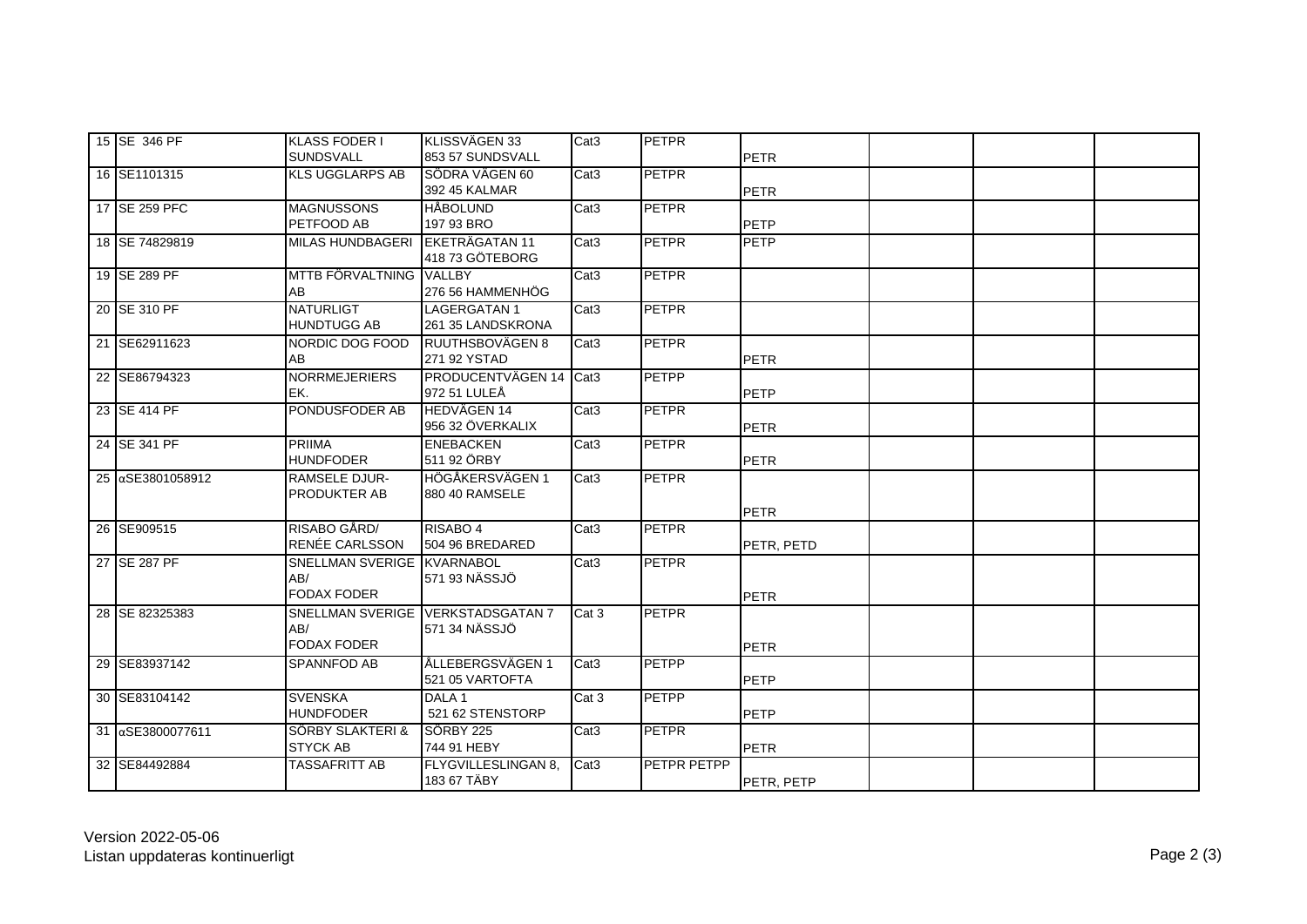| 15 SE 346 PF       | KLASS FODER I<br><b>SUNDSVALL</b>                       | KLISSVÄGEN 33<br>853 57 SUNDSVALL        | Cat <sub>3</sub> | PETPR              | <b>PETR</b> |  |
|--------------------|---------------------------------------------------------|------------------------------------------|------------------|--------------------|-------------|--|
| 16 SE1101315       | <b>KLS UGGLARPS AB</b>                                  | SÖDRA VÄGEN 60<br>392 45 KALMAR          | Cat <sub>3</sub> | <b>PETPR</b>       | <b>PETR</b> |  |
| 17 SE 259 PFC      | <b>MAGNUSSONS</b><br>PETFOOD AB                         | <b>HÅBOLUND</b><br>197 93 BRO            | Cat <sub>3</sub> | <b>PETPR</b>       | PETP        |  |
| 18 SE 74829819     | <b>MILAS HUNDBAGERI</b>                                 | EKETRÄGATAN 11<br>418 73 GÖTEBORG        | Cat <sub>3</sub> | <b>PETPR</b>       | PETP        |  |
| 19 SE 289 PF       | MTTB FÖRVALTNING<br>AB                                  | <b>VALLBY</b><br>276 56 HAMMENHÖG        | Cat <sub>3</sub> | <b>PETPR</b>       |             |  |
| 20 SE 310 PF       | <b>NATURLIGT</b><br><b>HUNDTUGG AB</b>                  | <b>LAGERGATAN1</b><br>261 35 LANDSKRONA  | Cat <sub>3</sub> | <b>PETPR</b>       |             |  |
| 21 SE62911623      | NORDIC DOG FOOD<br>AB                                   | RUUTHSBOVÄGEN 8<br>271 92 YSTAD          | Cat <sub>3</sub> | <b>PETPR</b>       | <b>PETR</b> |  |
| 22 SE86794323      | <b>NORRMEJERIERS</b><br>EK.                             | PRODUCENTVÄGEN 14 Cat3<br>972 51 LULEÅ   |                  | <b>PETPP</b>       | <b>PETP</b> |  |
| 23 SE 414 PF       | PONDUSFODER AB                                          | <b>HEDVÄGEN 14</b><br>956 32 ÖVERKALIX   | Cat <sub>3</sub> | <b>PETPR</b>       | <b>PETR</b> |  |
| 24 SE 341 PF       | <b>PRIIMA</b><br><b>HUNDFODER</b>                       | <b>ENEBACKEN</b><br>511 92 ÖRBY          | Cat <sub>3</sub> | <b>PETPR</b>       | <b>PETR</b> |  |
| 25 aSE3801058912   | <b>RAMSELE DJUR-</b><br>PRODUKTER AB                    | HÖGÅKERSVÄGEN 1<br>880 40 RAMSELE        | Cat <sub>3</sub> | <b>PETPR</b>       | PETR        |  |
| 26 SE909515        | RISABO GÅRD/<br>RENÉE CARLSSON                          | RISABO 4<br>504 96 BREDARED              | Cat <sub>3</sub> | <b>PETPR</b>       | PETR, PETD  |  |
| 27 SE 287 PF       | SNELLMAN SVERIGE KVARNABOL<br>AB/<br><b>FODAX FODER</b> | 571 93 NÄSSJÖ                            | Cat <sub>3</sub> | <b>PETPR</b>       | PETR        |  |
| 28 SE 82325383     | <b>SNELLMAN SVERIGE</b><br>AB/<br><b>FODAX FODER</b>    | <b>VERKSTADSGATAN 7</b><br>571 34 NÄSSJÖ | Cat 3            | <b>PETPR</b>       | PETR        |  |
| 29 SE83937142      | <b>SPANNFOD AB</b>                                      | ÅLLEBERGSVÄGEN 1<br>521 05 VARTOFTA      | Cat <sub>3</sub> | <b>PETPP</b>       | PETP        |  |
| 30 SE83104142      | <b>SVENSKA</b><br><b>HUNDFODER</b>                      | DALA <sub>1</sub><br>521 62 STENSTORP    | Cat 3            | <b>PETPP</b>       | PETP        |  |
| 31   αSE3800077611 | SÖRBY SLAKTERI &<br><b>STYCK AB</b>                     | SÖRBY 225<br>744 91 HEBY                 | Cat <sub>3</sub> | <b>PETPR</b>       | <b>PETR</b> |  |
| 32 SE84492884      | TASSAFRITT AB                                           | FLYGVILLESLINGAN 8,<br>183 67 TÄBY       | Cat <sub>3</sub> | <b>PETPR PETPP</b> | PETR, PETP  |  |